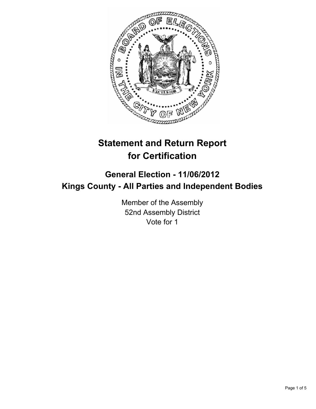

# **Statement and Return Report for Certification**

# **General Election - 11/06/2012 Kings County - All Parties and Independent Bodies**

Member of the Assembly 52nd Assembly District Vote for 1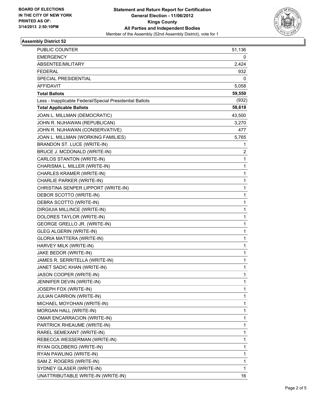

### **Assembly District 52**

| PUBLIC COUNTER                                           | 51,136 |
|----------------------------------------------------------|--------|
| <b>EMERGENCY</b>                                         | 0      |
| ABSENTEE/MILITARY                                        | 2,424  |
| <b>FEDERAL</b>                                           | 932    |
| SPECIAL PRESIDENTIAL                                     | 0      |
| <b>AFFIDAVIT</b>                                         | 5,058  |
| <b>Total Ballots</b>                                     | 59,550 |
| Less - Inapplicable Federal/Special Presidential Ballots | (932)  |
| <b>Total Applicable Ballots</b>                          | 58,618 |
| JOAN L. MILLMAN (DEMOCRATIC)                             | 43,500 |
| JOHN R. NIJHAWAN (REPUBLICAN)                            | 3,270  |
| JOHN R. NIJHAWAN (CONSERVATIVE)                          | 477    |
| JOAN L. MILLMAN (WORKING FAMILIES)                       | 5,765  |
| BRANDON ST. LUCE (WRITE-IN)                              | 1      |
| BRUCE J. MCDONALD (WRITE-IN)                             | 2      |
| CARLOS STANTON (WRITE-IN)                                | 1      |
| CHARISMA L. MILLER (WRITE-IN)                            | 1      |
| CHARLES KRAMER (WRITE-IN)                                | 1      |
| CHARLIE PARKER (WRITE-IN)                                | 1      |
| CHRISTINA SENPER LIPPORT (WRITE-IN)                      | 1      |
| DEBOR SCOTTO (WRITE-IN)                                  | 1      |
| DEBRA SCOTTO (WRITE-IN)                                  | 1      |
| DIRGIUIA MILLINCE (WRITE-IN)                             | 1      |
| DOLORES TAYLOR (WRITE-IN)                                | 1      |
| GEORGE GRELLO JR. (WRITE-IN)                             | 1      |
| <b>GLEG ALGERIN (WRITE-IN)</b>                           | 1      |
| GLORIA MATTERA (WRITE-IN)                                | 1      |
| HARVEY MILK (WRITE-IN)                                   | 1      |
| JAKE BEDOR (WRITE-IN)                                    | 1      |
| JAMES R. SERRITELLA (WRITE-IN)                           | 1      |
| JANET SADIC KHAN (WRITE-IN)                              | 1      |
| JASON COOPER (WRITE-IN)                                  | 1      |
| JENNIFER DEVIN (WRITE-IN)                                | 1      |
| JOSEPH FOX (WRITE-IN)                                    | 1      |
| <b>JULIAN CARRION (WRITE-IN)</b>                         | 1      |
| MICHAEL MOYOHAN (WRITE-IN)                               | 1      |
| MORGAN HALL (WRITE-IN)                                   | 1      |
| OMAR ENCARRACION (WRITE-IN)                              | 1      |
| PARTRICK RHEAUME (WRITE-IN)                              | 1      |
| RAREL SEMEXANT (WRITE-IN)                                | 1      |
| REBECCA WESSERMAN (WRITE-IN)                             | 1      |
| RYAN GOLDBERG (WRITE-IN)                                 | 1      |
| RYAN PAWLING (WRITE-IN)                                  | 1      |
| SAM Z. ROGERS (WRITE-IN)                                 | 1      |
| SYDNEY GLASER (WRITE-IN)                                 | 1      |
| UNATTRIBUTABLE WRITE-IN (WRITE-IN)                       | 16     |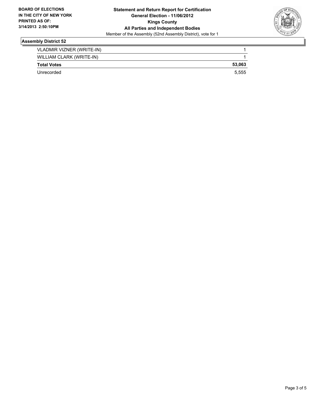

## **Assembly District 52**

| VLADMIR VIZNER (WRITE-IN) |        |
|---------------------------|--------|
| WILLIAM CLARK (WRITE-IN)  |        |
| <b>Total Votes</b>        | 53.063 |
| Unrecorded                | 5.555  |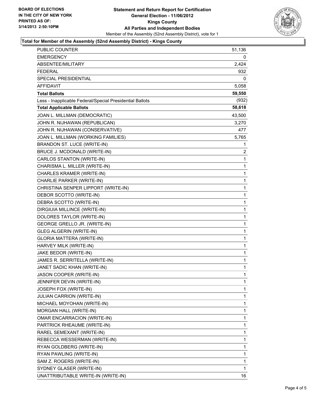

### **Total for Member of the Assembly (52nd Assembly District) - Kings County**

| <b>EMERGENCY</b><br>ABSENTEE/MILITARY<br><b>FEDERAL</b>  | 0<br>2,424<br>932 |
|----------------------------------------------------------|-------------------|
|                                                          |                   |
|                                                          |                   |
|                                                          |                   |
| SPECIAL PRESIDENTIAL                                     | 0                 |
| AFFIDAVIT                                                | 5,058             |
| 59,550<br><b>Total Ballots</b>                           |                   |
| Less - Inapplicable Federal/Special Presidential Ballots | (932)             |
| <b>Total Applicable Ballots</b><br>58,618                |                   |
| JOAN L. MILLMAN (DEMOCRATIC)<br>43,500                   |                   |
| JOHN R. NIJHAWAN (REPUBLICAN)                            | 3,270             |
| JOHN R. NIJHAWAN (CONSERVATIVE)                          | 477               |
| JOAN L. MILLMAN (WORKING FAMILIES)                       | 5,765             |
| BRANDON ST. LUCE (WRITE-IN)                              | 1                 |
| BRUCE J. MCDONALD (WRITE-IN)                             | $\overline{2}$    |
| CARLOS STANTON (WRITE-IN)                                | 1                 |
| CHARISMA L. MILLER (WRITE-IN)                            | 1                 |
| CHARLES KRAMER (WRITE-IN)                                | $\mathbf 1$       |
| CHARLIE PARKER (WRITE-IN)                                | 1                 |
| CHRISTINA SENPER LIPPORT (WRITE-IN)                      | 1                 |
| DEBOR SCOTTO (WRITE-IN)                                  | $\mathbf 1$       |
| DEBRA SCOTTO (WRITE-IN)                                  | 1                 |
| DIRGIUIA MILLINCE (WRITE-IN)                             | 1                 |
| DOLORES TAYLOR (WRITE-IN)                                | $\mathbf 1$       |
| GEORGE GRELLO JR. (WRITE-IN)                             | 1                 |
| GLEG ALGERIN (WRITE-IN)                                  | 1                 |
| GLORIA MATTERA (WRITE-IN)                                | $\mathbf{1}$      |
| HARVEY MILK (WRITE-IN)                                   | 1                 |
| JAKE BEDOR (WRITE-IN)                                    | 1                 |
| JAMES R. SERRITELLA (WRITE-IN)                           | $\mathbf{1}$      |
| JANET SADIC KHAN (WRITE-IN)                              | 1                 |
| JASON COOPER (WRITE-IN)                                  | 1                 |
| JENNIFER DEVIN (WRITE-IN)                                | 1                 |
| JOSEPH FOX (WRITE-IN)                                    | 1                 |
| <b>JULIAN CARRION (WRITE-IN)</b>                         | 1                 |
| MICHAEL MOYOHAN (WRITE-IN)                               | 1                 |
| MORGAN HALL (WRITE-IN)                                   | 1                 |
| OMAR ENCARRACION (WRITE-IN)                              | 1                 |
| PARTRICK RHEAUME (WRITE-IN)                              | 1                 |
| RAREL SEMEXANT (WRITE-IN)                                | 1                 |
| REBECCA WESSERMAN (WRITE-IN)                             | 1                 |
| RYAN GOLDBERG (WRITE-IN)                                 | 1                 |
| RYAN PAWLING (WRITE-IN)                                  | 1                 |
| SAM Z. ROGERS (WRITE-IN)                                 | 1                 |
| SYDNEY GLASER (WRITE-IN)                                 | 1                 |
| UNATTRIBUTABLE WRITE-IN (WRITE-IN)                       | 16                |